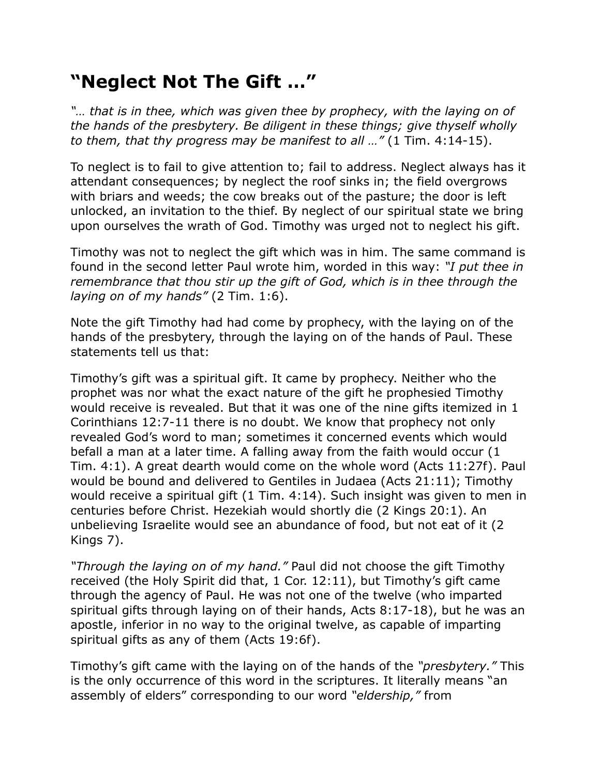## **"Neglect Not The Gift …"**

*"… that is in thee, which was given thee by prophecy, with the laying on of the hands of the presbytery. Be diligent in these things; give thyself wholly to them, that thy progress may be manifest to all …"* (1 Tim. 4:14-15).

To neglect is to fail to give attention to; fail to address. Neglect always has it attendant consequences; by neglect the roof sinks in; the field overgrows with briars and weeds; the cow breaks out of the pasture; the door is left unlocked, an invitation to the thief. By neglect of our spiritual state we bring upon ourselves the wrath of God. Timothy was urged not to neglect his gift.

Timothy was not to neglect the gift which was in him. The same command is found in the second letter Paul wrote him, worded in this way: *"I put thee in remembrance that thou stir up the gift of God, which is in thee through the laying on of my hands"* (2 Tim. 1:6).

Note the gift Timothy had had come by prophecy, with the laying on of the hands of the presbytery, through the laying on of the hands of Paul. These statements tell us that:

Timothy's gift was a spiritual gift. It came by prophecy. Neither who the prophet was nor what the exact nature of the gift he prophesied Timothy would receive is revealed. But that it was one of the nine gifts itemized in 1 Corinthians 12:7-11 there is no doubt. We know that prophecy not only revealed God's word to man; sometimes it concerned events which would befall a man at a later time. A falling away from the faith would occur (1 Tim. 4:1). A great dearth would come on the whole word (Acts 11:27f). Paul would be bound and delivered to Gentiles in Judaea (Acts 21:11); Timothy would receive a spiritual gift (1 Tim. 4:14). Such insight was given to men in centuries before Christ. Hezekiah would shortly die (2 Kings 20:1). An unbelieving Israelite would see an abundance of food, but not eat of it (2 Kings 7).

*"Through the laying on of my hand."* Paul did not choose the gift Timothy received (the Holy Spirit did that, 1 Cor. 12:11), but Timothy's gift came through the agency of Paul. He was not one of the twelve (who imparted spiritual gifts through laying on of their hands, Acts 8:17-18), but he was an apostle, inferior in no way to the original twelve, as capable of imparting spiritual gifts as any of them (Acts 19:6f).

Timothy's gift came with the laying on of the hands of the *"presbytery."* This is the only occurrence of this word in the scriptures. It literally means "an assembly of elders" corresponding to our word *"eldership,"* from